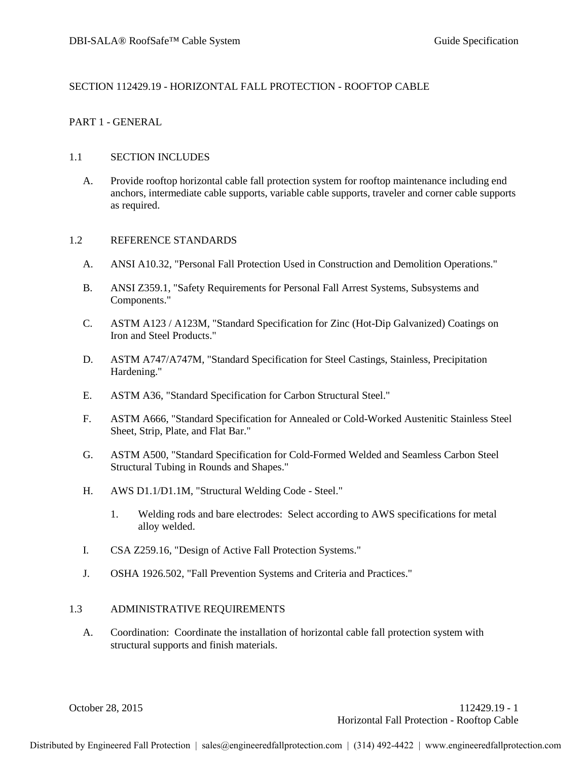## SECTION 112429.19 - HORIZONTAL FALL PROTECTION - ROOFTOP CABLE

## PART 1 - GENERAL

### 1.1 SECTION INCLUDES

A. Provide rooftop horizontal cable fall protection system for rooftop maintenance including end anchors, intermediate cable supports, variable cable supports, traveler and corner cable supports as required.

## 1.2 REFERENCE STANDARDS

- A. ANSI A10.32, "Personal Fall Protection Used in Construction and Demolition Operations."
- B. ANSI Z359.1, "Safety Requirements for Personal Fall Arrest Systems, Subsystems and Components."
- C. ASTM A123 / A123M, "Standard Specification for Zinc (Hot-Dip Galvanized) Coatings on Iron and Steel Products."
- D. ASTM A747/A747M, "Standard Specification for Steel Castings, Stainless, Precipitation Hardening."
- E. ASTM A36, "Standard Specification for Carbon Structural Steel."
- F. ASTM A666, "Standard Specification for Annealed or Cold-Worked Austenitic Stainless Steel Sheet, Strip, Plate, and Flat Bar."
- G. ASTM A500, "Standard Specification for Cold-Formed Welded and Seamless Carbon Steel Structural Tubing in Rounds and Shapes."
- H. AWS D1.1/D1.1M, "Structural Welding Code Steel."
	- 1. Welding rods and bare electrodes: Select according to AWS specifications for metal alloy welded.
- I. CSA Z259.16, "Design of Active Fall Protection Systems."
- J. OSHA 1926.502, "Fall Prevention Systems and Criteria and Practices."

#### 1.3 ADMINISTRATIVE REQUIREMENTS

A. Coordination: Coordinate the installation of horizontal cable fall protection system with structural supports and finish materials.

October 28, 2015 112429.19 - 1 Horizontal Fall Protection - Rooftop Cable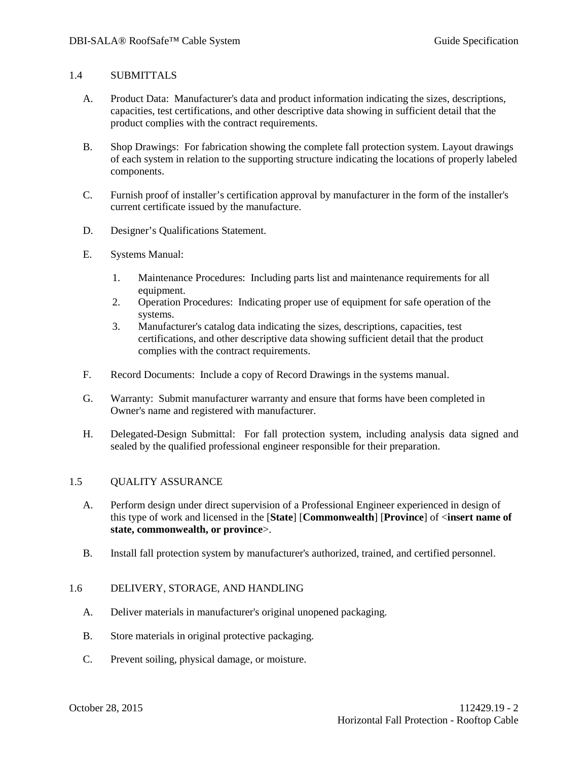#### 1.4 SUBMITTALS

- A. Product Data: Manufacturer's data and product information indicating the sizes, descriptions, capacities, test certifications, and other descriptive data showing in sufficient detail that the product complies with the contract requirements.
- B. Shop Drawings: For fabrication showing the complete fall protection system. Layout drawings of each system in relation to the supporting structure indicating the locations of properly labeled components.
- C. Furnish proof of installer's certification approval by manufacturer in the form of the installer's current certificate issued by the manufacture.
- D. Designer's Qualifications Statement.
- E. Systems Manual:
	- 1. Maintenance Procedures: Including parts list and maintenance requirements for all equipment.
	- 2. Operation Procedures: Indicating proper use of equipment for safe operation of the systems.
	- 3. Manufacturer's catalog data indicating the sizes, descriptions, capacities, test certifications, and other descriptive data showing sufficient detail that the product complies with the contract requirements.
- F. Record Documents: Include a copy of Record Drawings in the systems manual.
- G. Warranty: Submit manufacturer warranty and ensure that forms have been completed in Owner's name and registered with manufacturer.
- H. Delegated-Design Submittal: For fall protection system, including analysis data signed and sealed by the qualified professional engineer responsible for their preparation.

## 1.5 QUALITY ASSURANCE

- A. Perform design under direct supervision of a Professional Engineer experienced in design of this type of work and licensed in the [**State**] [**Commonwealth**] [**Province**] of <**insert name of state, commonwealth, or province**>.
- B. Install fall protection system by manufacturer's authorized, trained, and certified personnel.

## 1.6 DELIVERY, STORAGE, AND HANDLING

- A. Deliver materials in manufacturer's original unopened packaging.
- B. Store materials in original protective packaging.
- C. Prevent soiling, physical damage, or moisture.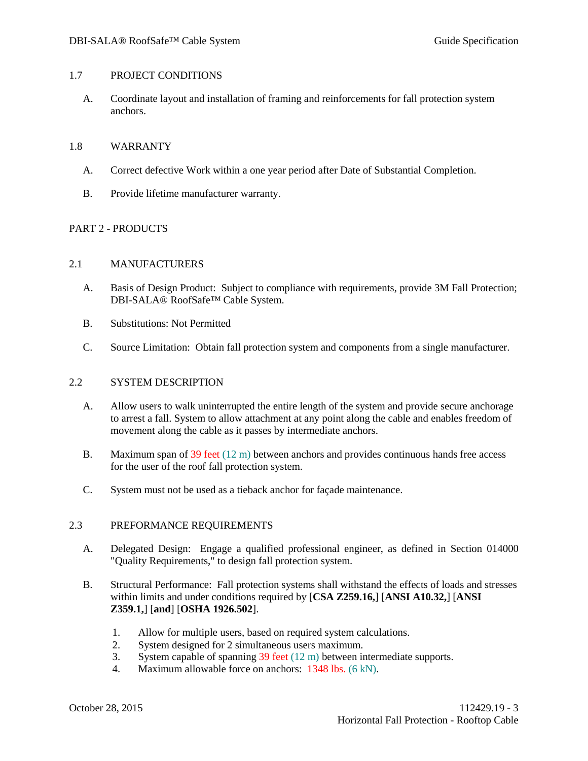### 1.7 PROJECT CONDITIONS

A. Coordinate layout and installation of framing and reinforcements for fall protection system anchors.

#### 1.8 WARRANTY

- A. Correct defective Work within a one year period after Date of Substantial Completion.
- B. Provide lifetime manufacturer warranty.

## PART 2 - PRODUCTS

## 2.1 MANUFACTURERS

- A. Basis of Design Product: Subject to compliance with requirements, provide 3M Fall Protection; DBI-SALA® RoofSafe™ Cable System.
- B. Substitutions: Not Permitted
- C. Source Limitation: Obtain fall protection system and components from a single manufacturer.

## 2.2 SYSTEM DESCRIPTION

- A. Allow users to walk uninterrupted the entire length of the system and provide secure anchorage to arrest a fall. System to allow attachment at any point along the cable and enables freedom of movement along the cable as it passes by intermediate anchors.
- B. Maximum span of 39 feet (12 m) between anchors and provides continuous hands free access for the user of the roof fall protection system.
- C. System must not be used as a tieback anchor for façade maintenance.

## 2.3 PREFORMANCE REQUIREMENTS

- A. Delegated Design: Engage a qualified professional engineer, as defined in Section 014000 "Quality Requirements," to design fall protection system.
- B. Structural Performance: Fall protection systems shall withstand the effects of loads and stresses within limits and under conditions required by [**CSA Z259.16,**] [**ANSI A10.32,**] [**ANSI Z359.1,**] [**and**] [**OSHA 1926.502**].
	- 1. Allow for multiple users, based on required system calculations.
	- 2. System designed for 2 simultaneous users maximum.
	- 3. System capable of spanning 39 feet (12 m) between intermediate supports.
	- 4. Maximum allowable force on anchors: 1348 lbs. (6 kN).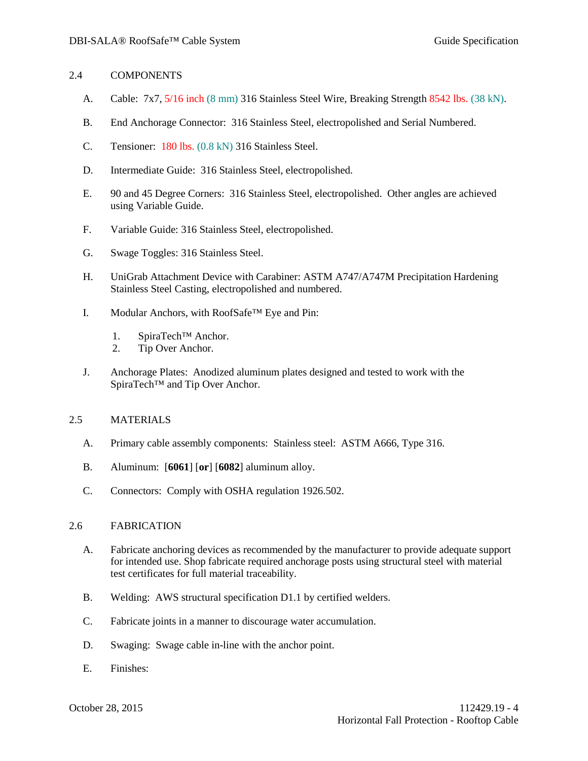## 2.4 COMPONENTS

- A. Cable: 7x7, 5/16 inch (8 mm) 316 Stainless Steel Wire, Breaking Strength 8542 lbs. (38 kN).
- B. End Anchorage Connector: 316 Stainless Steel, electropolished and Serial Numbered.
- C. Tensioner: 180 lbs. (0.8 kN) 316 Stainless Steel.
- D. Intermediate Guide: 316 Stainless Steel, electropolished.
- E. 90 and 45 Degree Corners: 316 Stainless Steel, electropolished. Other angles are achieved using Variable Guide.
- F. Variable Guide: 316 Stainless Steel, electropolished.
- G. Swage Toggles: 316 Stainless Steel.
- H. UniGrab Attachment Device with Carabiner: ASTM A747/A747M Precipitation Hardening Stainless Steel Casting, electropolished and numbered.
- I. Modular Anchors, with RoofSafe™ Eye and Pin:
	- 1. SpiraTech<sup>™</sup> Anchor.<br>2. Tip Over Anchor
	- Tip Over Anchor.
- J. Anchorage Plates: Anodized aluminum plates designed and tested to work with the SpiraTech<sup>™</sup> and Tip Over Anchor.

## 2.5 MATERIALS

- A. Primary cable assembly components: Stainless steel: ASTM A666, Type 316.
- B. Aluminum: [**6061**] [**or**] [**6082**] aluminum alloy.
- C. Connectors: Comply with OSHA regulation 1926.502.

## 2.6 FABRICATION

- A. Fabricate anchoring devices as recommended by the manufacturer to provide adequate support for intended use. Shop fabricate required anchorage posts using structural steel with material test certificates for full material traceability.
- B. Welding: AWS structural specification D1.1 by certified welders.
- C. Fabricate joints in a manner to discourage water accumulation.
- D. Swaging: Swage cable in-line with the anchor point.
- E. Finishes: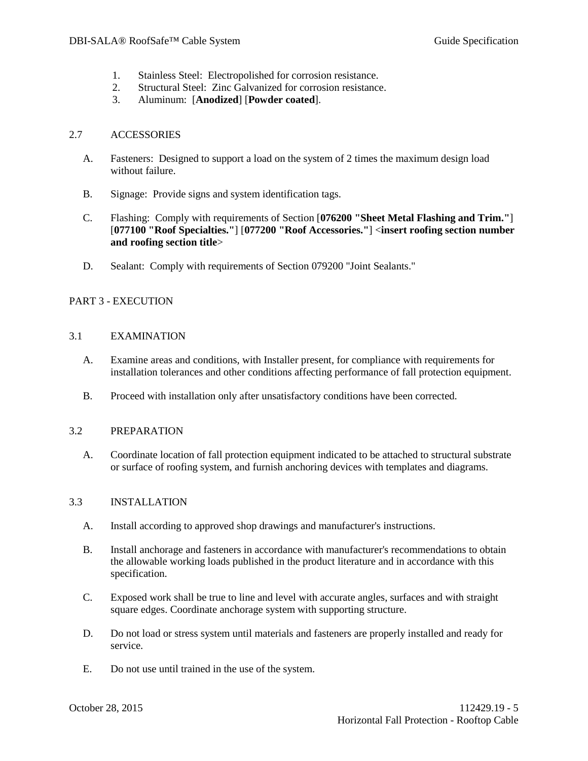- 1. Stainless Steel: Electropolished for corrosion resistance.
- 2. Structural Steel: Zinc Galvanized for corrosion resistance.
- 3. Aluminum: [**Anodized**] [**Powder coated**].

### 2.7 ACCESSORIES

- A. Fasteners: Designed to support a load on the system of 2 times the maximum design load without failure.
- B. Signage: Provide signs and system identification tags.
- C. Flashing: Comply with requirements of Section [**076200 "Sheet Metal Flashing and Trim."**] [**077100 "Roof Specialties."**] [**077200 "Roof Accessories."**] <**insert roofing section number and roofing section title**>
- D. Sealant: Comply with requirements of Section 079200 "Joint Sealants."

# PART 3 - EXECUTION

## 3.1 EXAMINATION

- A. Examine areas and conditions, with Installer present, for compliance with requirements for installation tolerances and other conditions affecting performance of fall protection equipment.
- B. Proceed with installation only after unsatisfactory conditions have been corrected.

## 3.2 PREPARATION

A. Coordinate location of fall protection equipment indicated to be attached to structural substrate or surface of roofing system, and furnish anchoring devices with templates and diagrams.

## 3.3 INSTALLATION

- A. Install according to approved shop drawings and manufacturer's instructions.
- B. Install anchorage and fasteners in accordance with manufacturer's recommendations to obtain the allowable working loads published in the product literature and in accordance with this specification.
- C. Exposed work shall be true to line and level with accurate angles, surfaces and with straight square edges. Coordinate anchorage system with supporting structure.
- D. Do not load or stress system until materials and fasteners are properly installed and ready for service.
- E. Do not use until trained in the use of the system.